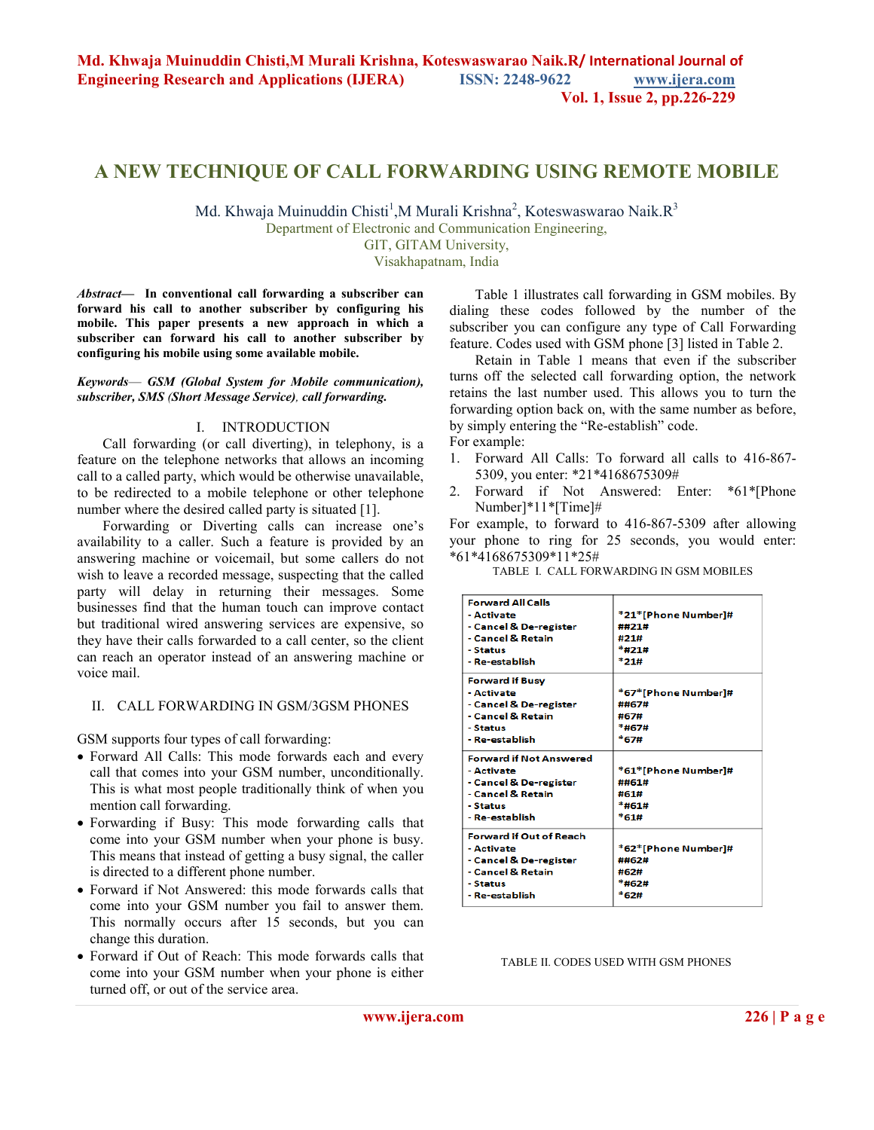#### **Vol. 1, Issue 2, pp.226-229**

# **A NEW TECHNIQUE OF CALL FORWARDING USING REMOTE MOBILE**

Md. Khwaja Muinuddin Chisti<sup>1</sup>, M Murali Krishna<sup>2</sup>, Koteswaswarao Naik.R<sup>3</sup>

Department of Electronic and Communication Engineering,

GIT, GITAM University,

Visakhapatnam, India

*Abstract—* **In conventional call forwarding a subscriber can forward his call to another subscriber by configuring his mobile. This paper presents a new approach in which a subscriber can forward his call to another subscriber by configuring his mobile using some available mobile.**

*Keywords*— *GSM (Global System for Mobile communication), subscriber, SMS (Short Message Service), call forwarding.* 

#### I. INTRODUCTION

Call forwarding (or call diverting), in telephony, is a feature on the telephone networks that allows an incoming call to a called party, which would be otherwise unavailable, to be redirected to a mobile telephone or other telephone number where the desired called party is situated [1].

Forwarding or Diverting calls can increase one's availability to a caller. Such a feature is provided by an answering machine or voicemail, but some callers do not wish to leave a recorded message, suspecting that the called party will delay in returning their messages. Some businesses find that the human touch can improve contact but traditional wired answering services are expensive, so they have their calls forwarded to a call center, so the client can reach an operator instead of an answering machine or voice mail.

#### II. CALL FORWARDING IN GSM/3GSM PHONES

GSM supports four types of call forwarding:

- Forward All Calls: This mode forwards each and every call that comes into your GSM number, unconditionally. This is what most people traditionally think of when you mention call forwarding.
- Forwarding if Busy: This mode forwarding calls that come into your GSM number when your phone is busy. This means that instead of getting a busy signal, the caller is directed to a different phone number.
- Forward if Not Answered: this mode forwards calls that come into your GSM number you fail to answer them. This normally occurs after 15 seconds, but you can change this duration.
- Forward if Out of Reach: This mode forwards calls that come into your GSM number when your phone is either turned off, or out of the service area.

Table 1 illustrates call forwarding in GSM mobiles. By dialing these codes followed by the number of the subscriber you can configure any type of Call Forwarding feature. Codes used with GSM phone [3] listed in Table 2.

 Retain in Table 1 means that even if the subscriber turns off the selected call forwarding option, the network retains the last number used. This allows you to turn the forwarding option back on, with the same number as before, by simply entering the "Re-establish" code. For example:

- 1. Forward All Calls: To forward all calls to 416-867- 5309, you enter: \*21\*4168675309#
- 2. Forward if Not Answered: Enter: \*61\*[Phone Number]\*11\*[Time]#

For example, to forward to 416-867-5309 after allowing your phone to ring for 25 seconds, you would enter: \*61\*4168675309\*11\*25#

TABLE I. CALL FORWARDING IN GSM MOBILES

| <b>Forward All Calls</b>       |                     |
|--------------------------------|---------------------|
| - Activate                     | *21*[Phone Number]# |
| - Cancel & De-register         | ##フ1#               |
| - Cancel & Retain              | #21#                |
| - Status                       | *#21#               |
| - Re-establish                 | *21#                |
| <b>Forward if Busy</b>         |                     |
| - Activate                     | *67*[Phone Number]# |
| - Cancel & De-register         | ##67#               |
| - Cancel & Retain              | #67#                |
| - Status                       | *#67#               |
| - Re-establish                 | *67#                |
| <b>Forward if Not Answered</b> |                     |
| - Activate                     | *61*[Phone Number]# |
| - Cancel & De-register         | ##61#               |
| - Cancel & Retain              | #61#                |
| - Status                       | *#61#               |
| - Re-establish                 | *61#                |
| <b>Forward if Out of Reach</b> |                     |
| - Activate                     | *62*[Phone Number]# |
| - Cancel & De-register         | ##62#               |
| - Cancel & Retain              | #62#                |
| - Status                       | *#62#               |
| - Re-establish                 | *62#                |
|                                |                     |

#### TABLE II. CODES USED WITH GSM PHONES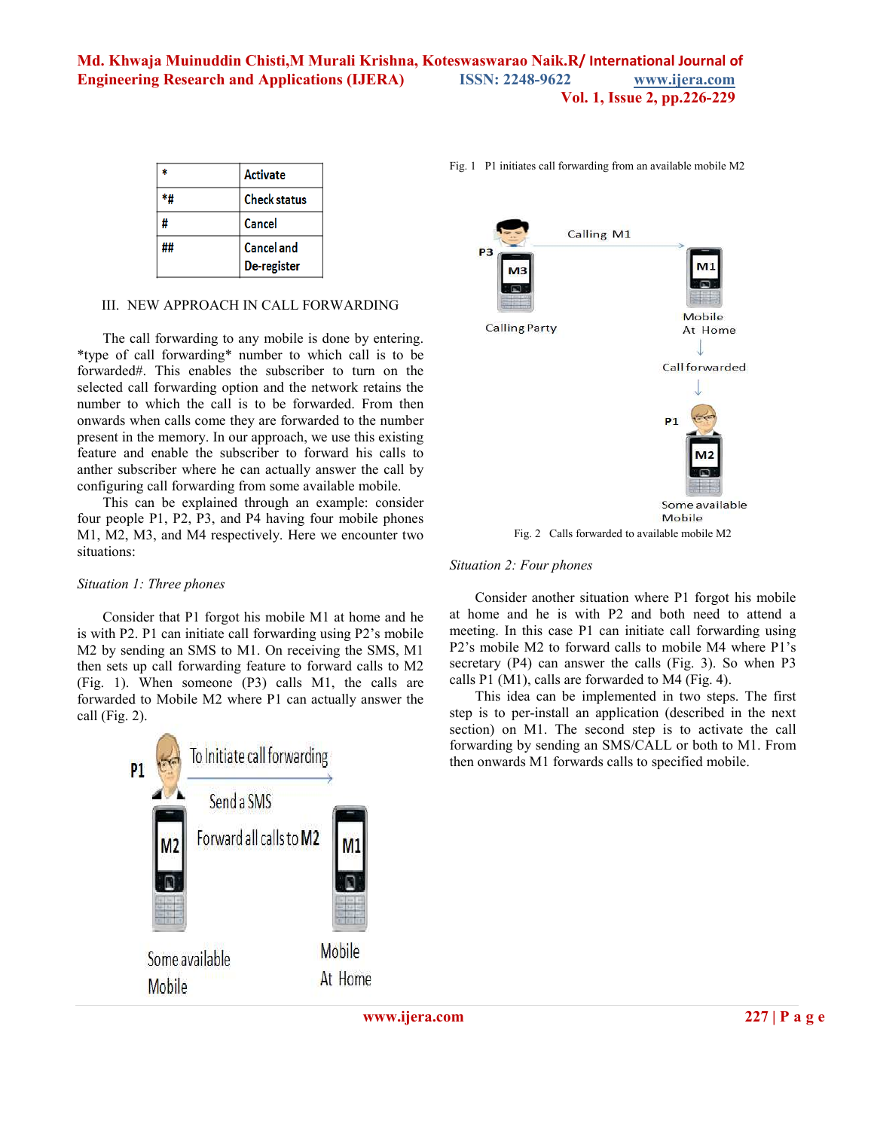# **Md. Khwaja Muinuddin Chisti,M Murali Krishna, Koteswaswarao Naik.R/ International Journal of Engineering Research and Applications (IJERA) ISSN: 2248-9622 www.ijera.com Vol. 1, Issue 2, pp.226-229**

|   | <b>Activate</b>                  |
|---|----------------------------------|
|   | <b>Check status</b>              |
| # | Cancel                           |
|   | <b>Cancel and</b><br>De-register |

#### III. NEW APPROACH IN CALL FORWARDING

The call forwarding to any mobile is done by entering. \*type of call forwarding\* number to which call is to be forwarded#. This enables the subscriber to turn on the selected call forwarding option and the network retains the number to which the call is to be forwarded. From then onwards when calls come they are forwarded to the number present in the memory. In our approach, we use this existing feature and enable the subscriber to forward his calls to anther subscriber where he can actually answer the call by configuring call forwarding from some available mobile.

This can be explained through an example: consider four people P1, P2, P3, and P4 having four mobile phones M1, M2, M3, and M4 respectively. Here we encounter two situations:

#### *Situation 1: Three phones*

Consider that P1 forgot his mobile M1 at home and he is with P2. P1 can initiate call forwarding using P2's mobile M2 by sending an SMS to M1. On receiving the SMS, M1 then sets up call forwarding feature to forward calls to M2 (Fig. 1). When someone (P3) calls M1, the calls are forwarded to Mobile M2 where P1 can actually answer the call (Fig. 2).



Fig. 1 P1 initiates call forwarding from an available mobile M2



#### *Situation 2: Four phones*

Consider another situation where P1 forgot his mobile at home and he is with P2 and both need to attend a meeting. In this case P1 can initiate call forwarding using P2's mobile M2 to forward calls to mobile M4 where P1's secretary (P4) can answer the calls (Fig. 3). So when P3 calls P1 (M1), calls are forwarded to M4 (Fig. 4).

This idea can be implemented in two steps. The first step is to per-install an application (described in the next section) on M1. The second step is to activate the call forwarding by sending an SMS/CALL or both to M1. From then onwards M1 forwards calls to specified mobile.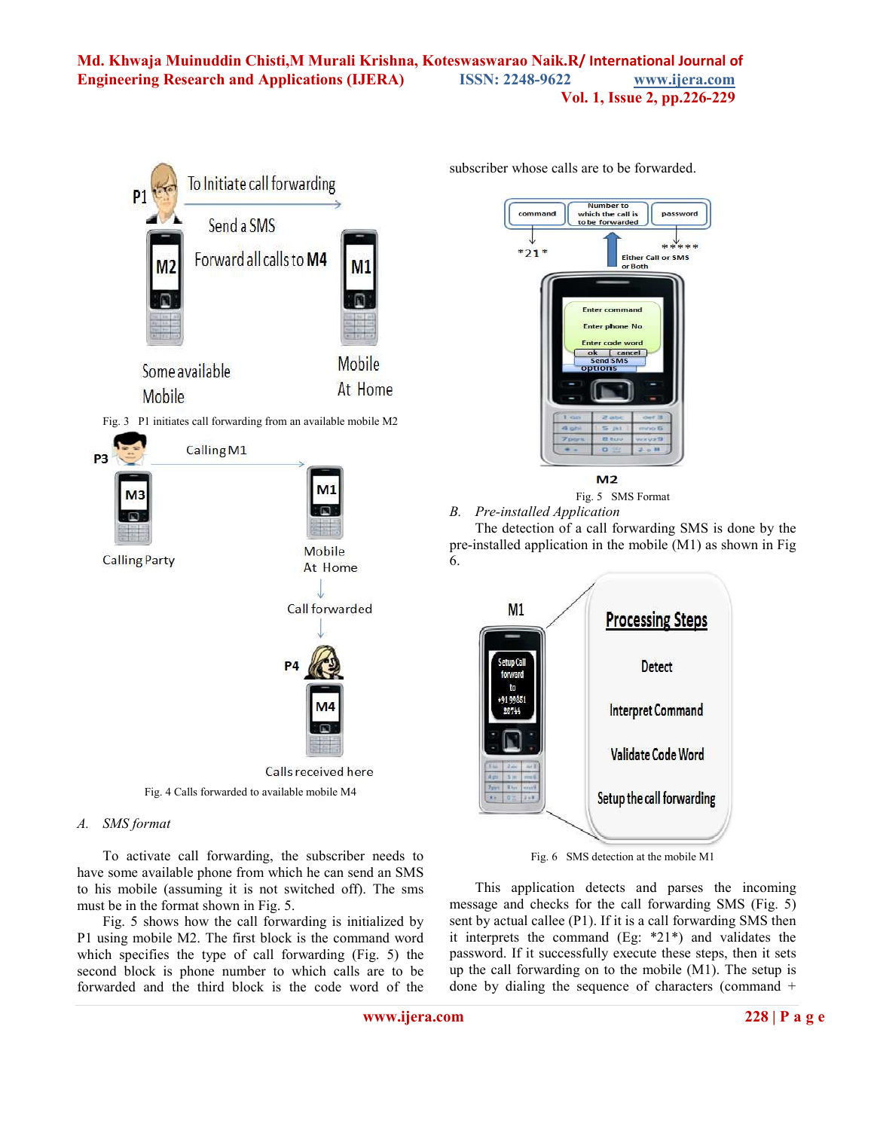# **Md. Khwaja Muinuddin Chisti,M Murali Krishna, Koteswaswarao Naik.R/ International Journal of Engineering Research and Applications (IJERA) ISSN: 2248-9622 www.ijera.com Vol. 1, Issue 2, pp.226-229**



Fig. 4 Calls forwarded to available mobile M4

# *A. SMS format*

To activate call forwarding, the subscriber needs to have some available phone from which he can send an SMS to his mobile (assuming it is not switched off). The sms must be in the format shown in Fig. 5.

Fig. 5 shows how the call forwarding is initialized by P1 using mobile M2. The first block is the command word which specifies the type of call forwarding (Fig. 5) the second block is phone number to which calls are to be forwarded and the third block is the code word of the subscriber whose calls are to be forwarded.



 $M<sub>2</sub>$ 

Fig. 5 SMS Format *B. Pre-installed Application* 

The detection of a call forwarding SMS is done by the pre-installed application in the mobile (M1) as shown in Fig 6.



Fig. 6 SMS detection at the mobile M1

This application detects and parses the incoming message and checks for the call forwarding SMS (Fig. 5) sent by actual callee (P1). If it is a call forwarding SMS then it interprets the command (Eg: \*21\*) and validates the password. If it successfully execute these steps, then it sets up the call forwarding on to the mobile (M1). The setup is done by dialing the sequence of characters (command +